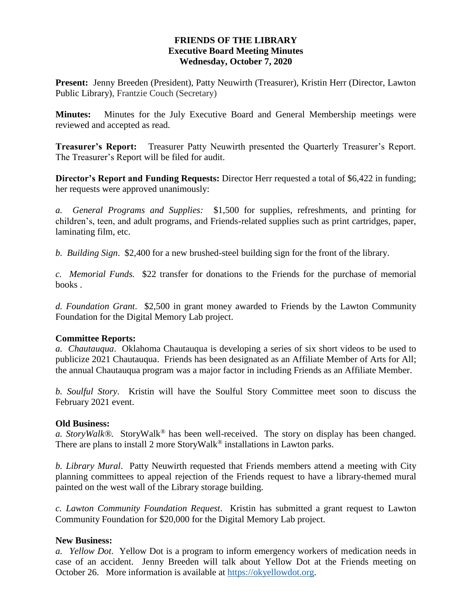# **FRIENDS OF THE LIBRARY Executive Board Meeting Minutes Wednesday, October 7, 2020**

**Present:** Jenny Breeden (President), Patty Neuwirth (Treasurer), Kristin Herr (Director, Lawton Public Library), Frantzie Couch (Secretary)

**Minutes:** Minutes for the July Executive Board and General Membership meetings were reviewed and accepted as read.

**Treasurer's Report:** Treasurer Patty Neuwirth presented the Quarterly Treasurer's Report. The Treasurer's Report will be filed for audit.

**Director's Report and Funding Requests:** Director Herr requested a total of \$6,422 in funding; her requests were approved unanimously:

*a. General Programs and Supplies:* \$1,500 for supplies, refreshments, and printing for children's, teen, and adult programs, and Friends-related supplies such as print cartridges, paper, laminating film, etc.

*b. Building Sign*. \$2,400 for a new brushed-steel building sign for the front of the library.

*c. Memorial Funds.* \$22 transfer for donations to the Friends for the purchase of memorial books .

*d. Foundation Grant*. \$2,500 in grant money awarded to Friends by the Lawton Community Foundation for the Digital Memory Lab project.

### **Committee Reports:**

*a. Chautauqua*. Oklahoma Chautauqua is developing a series of six short videos to be used to publicize 2021 Chautauqua. Friends has been designated as an Affiliate Member of Arts for All; the annual Chautauqua program was a major factor in including Friends as an Affiliate Member.

*b. Soulful Story*. Kristin will have the Soulful Story Committee meet soon to discuss the February 2021 event.

### **Old Business:**

*a. StoryWalk®.* StoryWalk*®* has been well-received. The story on display has been changed. There are plans to install 2 more StoryWalk*®* installations in Lawton parks.

*b. Library Mural*. Patty Neuwirth requested that Friends members attend a meeting with City planning committees to appeal rejection of the Friends request to have a library-themed mural painted on the west wall of the Library storage building.

*c. Lawton Community Foundation Request*. Kristin has submitted a grant request to Lawton Community Foundation for \$20,000 for the Digital Memory Lab project.

# **New Business:**

*a. Yellow Dot*. Yellow Dot is a program to inform emergency workers of medication needs in case of an accident. Jenny Breeden will talk about Yellow Dot at the Friends meeting on October 26. More information is available at [https://okyellowdot.org.](https://okyellowdot.org/)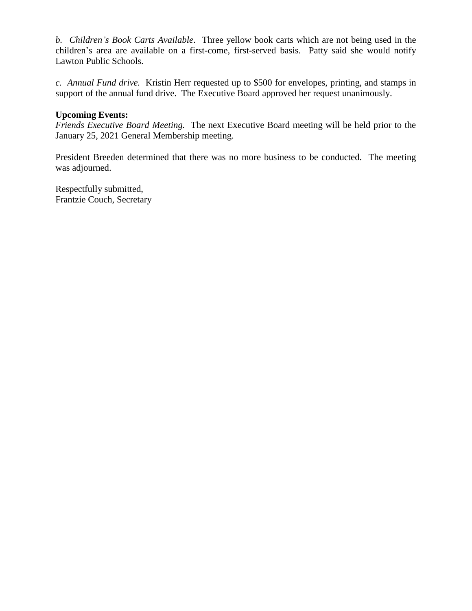*b. Children's Book Carts Available*. Three yellow book carts which are not being used in the children's area are available on a first-come, first-served basis. Patty said she would notify Lawton Public Schools.

*c. Annual Fund drive.* Kristin Herr requested up to \$500 for envelopes, printing, and stamps in support of the annual fund drive. The Executive Board approved her request unanimously.

### **Upcoming Events:**

*Friends Executive Board Meeting.* The next Executive Board meeting will be held prior to the January 25, 2021 General Membership meeting.

President Breeden determined that there was no more business to be conducted. The meeting was adjourned.

Respectfully submitted, Frantzie Couch, Secretary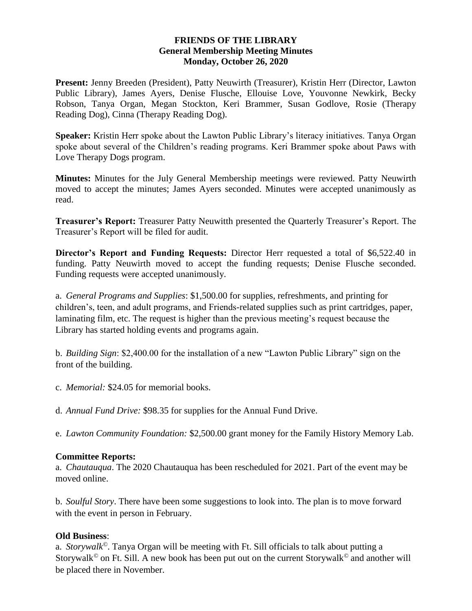### **FRIENDS OF THE LIBRARY General Membership Meeting Minutes Monday, October 26, 2020**

**Present:** Jenny Breeden (President), Patty Neuwirth (Treasurer), Kristin Herr (Director, Lawton Public Library), James Ayers, Denise Flusche, Ellouise Love, Youvonne Newkirk, Becky Robson, Tanya Organ, Megan Stockton, Keri Brammer, Susan Godlove, Rosie (Therapy Reading Dog), Cinna (Therapy Reading Dog).

**Speaker:** Kristin Herr spoke about the Lawton Public Library's literacy initiatives. Tanya Organ spoke about several of the Children's reading programs. Keri Brammer spoke about Paws with Love Therapy Dogs program.

**Minutes:** Minutes for the July General Membership meetings were reviewed. Patty Neuwirth moved to accept the minutes; James Ayers seconded. Minutes were accepted unanimously as read.

**Treasurer's Report:** Treasurer Patty Neuwitth presented the Quarterly Treasurer's Report. The Treasurer's Report will be filed for audit.

**Director's Report and Funding Requests:** Director Herr requested a total of \$6,522.40 in funding. Patty Neuwirth moved to accept the funding requests; Denise Flusche seconded. Funding requests were accepted unanimously.

a. *General Programs and Supplies*: \$1,500.00 for supplies, refreshments, and printing for children's, teen, and adult programs, and Friends-related supplies such as print cartridges, paper, laminating film, etc. The request is higher than the previous meeting's request because the Library has started holding events and programs again.

b. *Building Sign*: \$2,400.00 for the installation of a new "Lawton Public Library" sign on the front of the building.

c. *Memorial:* \$24.05 for memorial books.

d. *Annual Fund Drive:* \$98.35 for supplies for the Annual Fund Drive.

e. *Lawton Community Foundation:* \$2,500.00 grant money for the Family History Memory Lab.

### **Committee Reports:**

a. *Chautauqua*. The 2020 Chautauqua has been rescheduled for 2021. Part of the event may be moved online.

b. *Soulful Story*. There have been some suggestions to look into. The plan is to move forward with the event in person in February.

# **Old Business**:

a. *Storywalk©*. Tanya Organ will be meeting with Ft. Sill officials to talk about putting a Storywalk*©* on Ft. Sill. A new book has been put out on the current Storywalk*©* and another will be placed there in November.